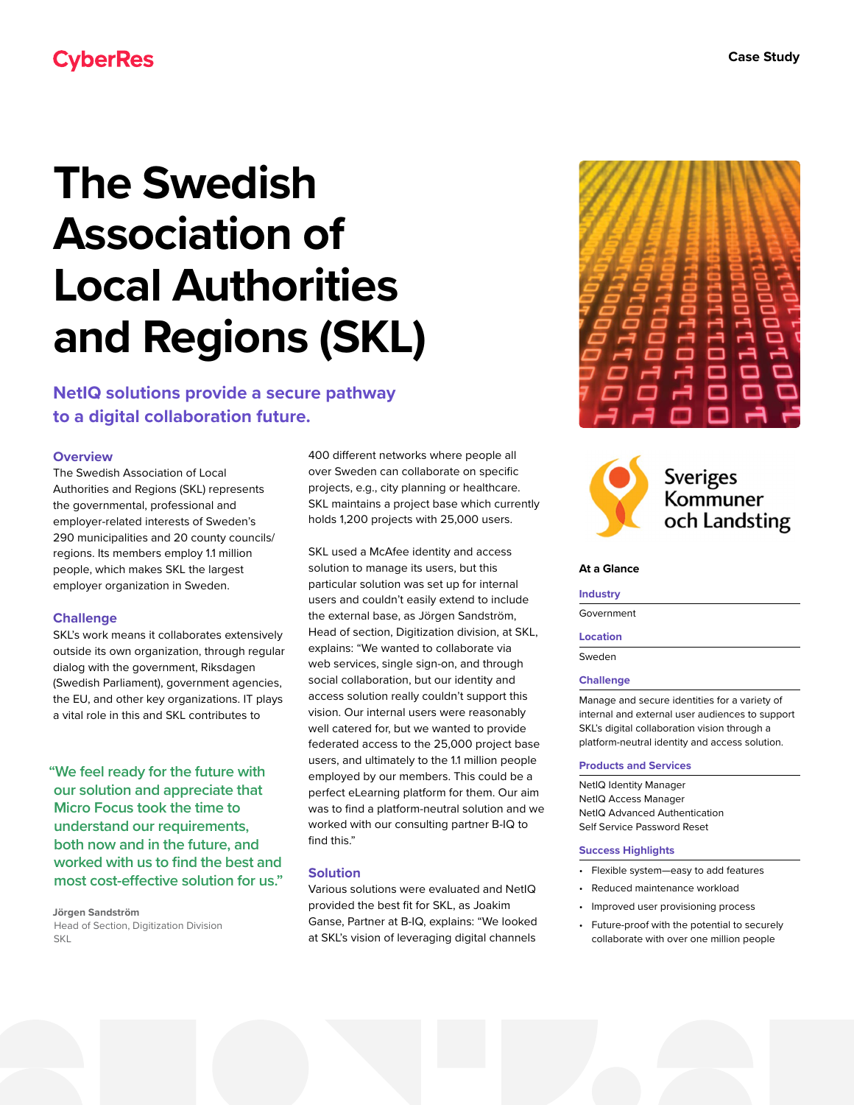## **CyberRes**

# **The Swedish Association of Local Authorities and Regions (SKL)**

**NetIQ solutions provide a secure pathway to a digital collaboration future.**

#### **Overview**

The Swedish Association of Local Authorities and Regions (SKL) represents the governmental, professional and employer-related interests of Sweden's 290 municipalities and 20 county councils/ regions. Its members employ 1.1 million people, which makes SKL the largest employer organization in Sweden.

#### **Challenge**

SKL's work means it collaborates extensively outside its own organization, through regular dialog with the government, Riksdagen (Swedish Parliament), government agencies, the EU, and other key organizations. IT plays a vital role in this and SKL contributes to

**"We feel ready for the future with our solution and appreciate that Micro Focus took the time to understand our requirements, both now and in the future, and worked with us to find the best and most cost-effective solution for us."**

**Jörgen Sandström** Head of Section, Digitization Division **SKI** 

400 different networks where people all over Sweden can collaborate on specific projects, e.g., city planning or healthcare. SKL maintains a project base which currently holds 1,200 projects with 25,000 users.

SKL used a McAfee identity and access solution to manage its users, but this particular solution was set up for internal users and couldn't easily extend to include the external base, as Jörgen Sandström, Head of section, Digitization division, at SKL, explains: "We wanted to collaborate via web services, single sign-on, and through social collaboration, but our identity and access solution really couldn't support this vision. Our internal users were reasonably well catered for, but we wanted to provide federated access to the 25,000 project base users, and ultimately to the 1.1 million people employed by our members. This could be a perfect eLearning platform for them. Our aim was to find a platform-neutral solution and we worked with our consulting partner B-IQ to find this."

#### **Solution**

Various solutions were evaluated and NetIQ provided the best fit for SKL, as Joakim Ganse, Partner at B-IQ, explains: "We looked at SKL's vision of leveraging digital channels





## **Sveriges** Kommuner och Landsting

#### **At a Glance**

#### **Industry**

Government

#### **Location**

Sweden

#### **Challenge**

Manage and secure identities for a variety of internal and external user audiences to support SKL's digital collaboration vision through a platform-neutral identity and access solution.

#### **Products and Services**

NetIQ Identity Manager NetIQ Access Manager NetIQ Advanced Authentication Self Service Password Reset

#### **Success Highlights**

- Flexible system—easy to add features
- Reduced maintenance workload
- Improved user provisioning process
- Future-proof with the potential to securely collaborate with over one million people